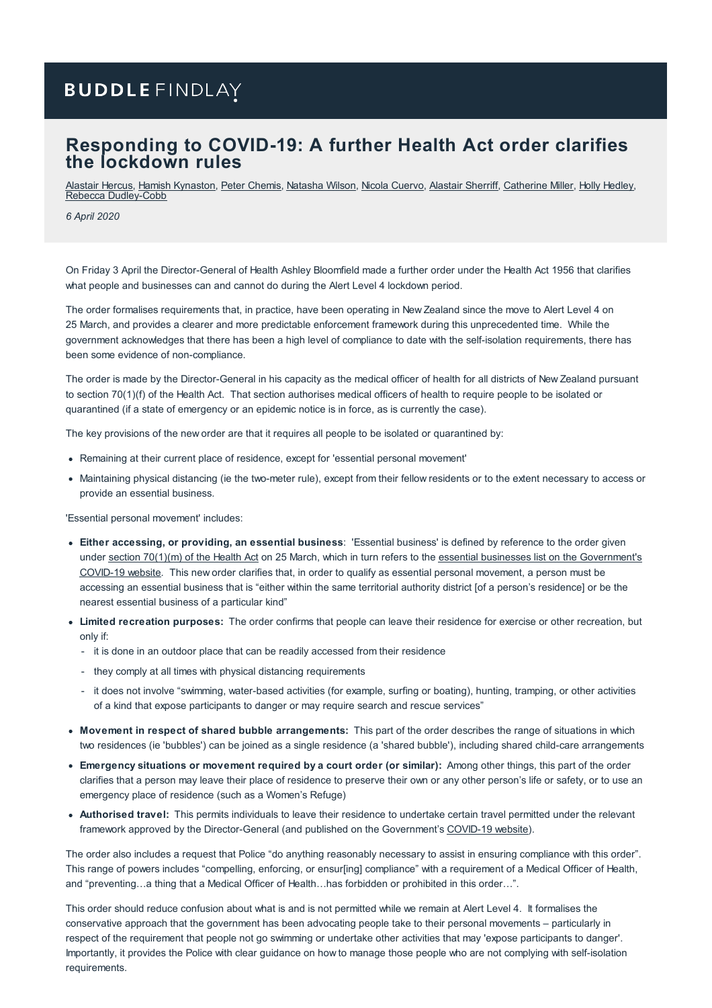# **BUDDLE FINDLAY**

### **Responding to COVID-19: A further Health Act order clarifies the lockdown rules**

[Alastair](https://www.buddlefindlay.com/people/alastair-hercus/) Hercus, Hamish [Kynaston](https://www.buddlefindlay.com/people/hamish-kynaston/), Peter [Chemis](https://www.buddlefindlay.com/people/peter-chemis/), [Natasha](https://www.buddlefindlay.com/people/natasha-wilson/) Wilson, Nicola [Cuervo](https://www.buddlefindlay.com/people/nicola-cuervo/), [Alastair](https://www.buddlefindlay.com/people/alastair-sherriff/) Sherriff, [Catherine](https://www.buddlefindlay.com/people/catherine-miller/) Miller, Holly [Hedley](https://www.buddlefindlay.com/people/holly-hedley/), Rebecca [Dudley-Cobb](https://www.buddlefindlay.com/people/rebecca-dudley-cobb/)

*6 April 2020*

On Friday 3 April the Director-General of Health Ashley Bloomfield made a further order under the Health Act 1956 that clarifies what people and businesses can and cannot do during the Alert Level 4 lockdown period.

The order formalises requirements that, in practice, have been operating in New Zealand since the move to Alert Level 4 on 25 March, and provides a clearer and more predictable enforcement framework during this unprecedented time. While the government acknowledges that there has been a high level of compliance to date with the self-isolation requirements, there has been some evidence of non-compliance.

The order is made by the Director-General in his capacity as the medical officer of health for all districts of New Zealand pursuant to section 70(1)(f) of the Health Act. That section authorises medical officers of health to require people to be isolated or quarantined (if a state of emergency or an epidemic notice is in force, as is currently the case).

The key provisions of the new order are that it requires all people to be isolated or quarantined by:

- Remaining at their current place of residence, except for 'essential personal movement'
- Maintaining physical distancing (ie the two-meter rule), except from their fellow residents or to the extent necessary to access or provide an essential business.

'Essential personal movement' includes:

- **Either accessing, or providing, an essential business**: 'Essential business' is defined by reference to the order given under section [70\(1\)\(m\)](https://www.health.govt.nz/system/files/documents/pages/covid-19-section_701m_order_25_march_2020.pdf) of the Health Act on 25 March, which in turn refers to the essential businesses list on the [Government's](https://covid19.govt.nz/government-actions/covid-19-alert-level/essential-businesses/) COVID-19 website. This new order clarifies that, in order to qualify as essential personal movement, a person must be accessing an essential business that is "either within the same territorial authority district [of a person's residence] or be the nearest essential business of a particular kind"
- **Limited recreation purposes:** The order confirms that people can leave their residence for exercise or other recreation, but only if:
	- it is done in an outdoor place that can be readily accessed from their residence
	- they comply at all times with physical distancing requirements
	- it does not involve "swimming, water-based activities (for example, surfing or boating), hunting, tramping, or other activities of a kind that expose participants to danger or may require search and rescue services"
- **Movement in respect of shared bubble arrangements:** This part of the order describes the range of situations in which two residences (ie 'bubbles') can be joined as a single residence (a 'shared bubble'), including shared child-care arrangements
- **Emergency situations or movement required by a court order (or similar):** Among other things, this part of the order clarifies that a person may leave their place of residence to preserve their own or any other person's life or safety, or to use an emergency place of residence (such as a Women's Refuge)
- **Authorised travel:** This permits individuals to leave their residence to undertake certain travel permitted under the relevant framework approved by the Director-General (and published on the Government's [COVID-19](https://covid19.govt.nz/) website).

The order also includes a request that Police "do anything reasonably necessary to assist in ensuring compliance with this order". This range of powers includes "compelling, enforcing, or ensur[ing] compliance" with a requirement of a Medical Officer of Health, and "preventing…a thing that a Medical Officer of Health…has forbidden or prohibited in this order…".

This order should reduce confusion about what is and is not permitted while we remain at Alert Level 4. It formalises the conservative approach that the government has been advocating people take to their personal movements – particularly in respect of the requirement that people not go swimming or undertake other activities that may 'expose participants to danger'. Importantly, it provides the Police with clear guidance on how to manage those people who are not complying with self-isolation requirements.